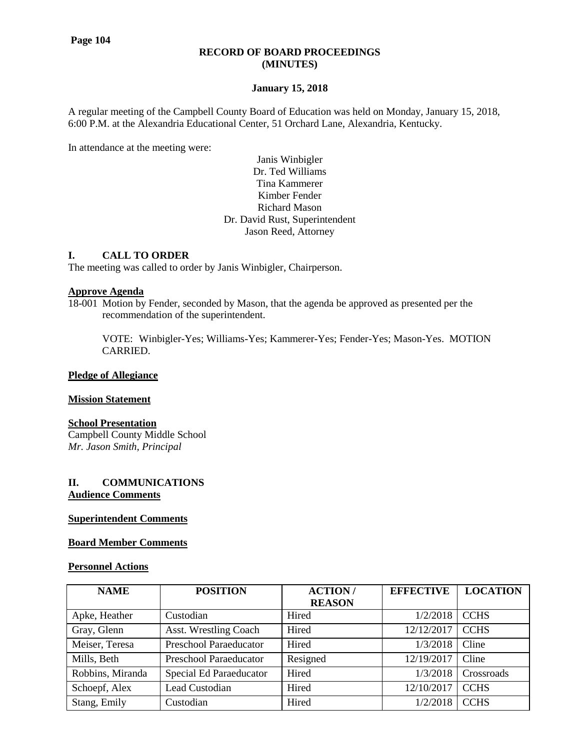### **RECORD OF BOARD PROCEEDINGS (MINUTES)**

### **January 15, 2018**

A regular meeting of the Campbell County Board of Education was held on Monday, January 15, 2018, 6:00 P.M. at the Alexandria Educational Center, 51 Orchard Lane, Alexandria, Kentucky.

In attendance at the meeting were:

## Janis Winbigler Dr. Ted Williams Tina Kammerer Kimber Fender Richard Mason Dr. David Rust, Superintendent Jason Reed, Attorney

### **I. CALL TO ORDER**

The meeting was called to order by Janis Winbigler, Chairperson.

# **Approve Agenda**

18-001 Motion by Fender, seconded by Mason, that the agenda be approved as presented per the recommendation of the superintendent.

VOTE: Winbigler-Yes; Williams-Yes; Kammerer-Yes; Fender-Yes; Mason-Yes. MOTION CARRIED.

### **Pledge of Allegiance**

### **Mission Statement**

# **School Presentation**

Campbell County Middle School *Mr. Jason Smith, Principal*

### **II. COMMUNICATIONS Audience Comments**

### **Superintendent Comments**

### **Board Member Comments**

### **Personnel Actions**

| <b>NAME</b>      | <b>POSITION</b>               | <b>ACTION/</b> | <b>EFFECTIVE</b> | <b>LOCATION</b> |
|------------------|-------------------------------|----------------|------------------|-----------------|
|                  |                               | <b>REASON</b>  |                  |                 |
| Apke, Heather    | Custodian                     | Hired          | 1/2/2018         | <b>CCHS</b>     |
| Gray, Glenn      | <b>Asst. Wrestling Coach</b>  | Hired          | 12/12/2017       | <b>CCHS</b>     |
| Meiser, Teresa   | <b>Preschool Paraeducator</b> | Hired          | 1/3/2018         | Cline           |
| Mills, Beth      | <b>Preschool Paraeducator</b> | Resigned       | 12/19/2017       | Cline           |
| Robbins, Miranda | Special Ed Paraeducator       | Hired          | 1/3/2018         | Crossroads      |
| Schoepf, Alex    | Lead Custodian                | Hired          | 12/10/2017       | <b>CCHS</b>     |
| Stang, Emily     | Custodian                     | Hired          | 1/2/2018         | <b>CCHS</b>     |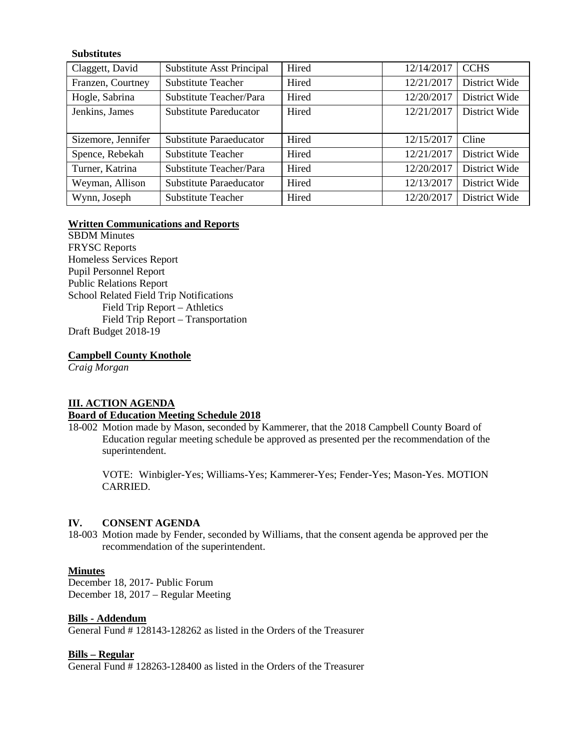### **Substitutes**

| Claggett, David    | Substitute Asst Principal      | Hired | 12/14/2017 | <b>CCHS</b>   |
|--------------------|--------------------------------|-------|------------|---------------|
| Franzen, Courtney  | <b>Substitute Teacher</b>      | Hired | 12/21/2017 | District Wide |
| Hogle, Sabrina     | Substitute Teacher/Para        | Hired | 12/20/2017 | District Wide |
| Jenkins, James     | <b>Substitute Pareducator</b>  | Hired | 12/21/2017 | District Wide |
|                    |                                |       |            |               |
| Sizemore, Jennifer | Substitute Paraeducator        | Hired | 12/15/2017 | Cline         |
| Spence, Rebekah    | <b>Substitute Teacher</b>      | Hired | 12/21/2017 | District Wide |
| Turner, Katrina    | Substitute Teacher/Para        | Hired | 12/20/2017 | District Wide |
| Weyman, Allison    | <b>Substitute Paraeducator</b> | Hired | 12/13/2017 | District Wide |
| Wynn, Joseph       | <b>Substitute Teacher</b>      | Hired | 12/20/2017 | District Wide |

# **Written Communications and Reports**

**SBDM** Minutes FRYSC Reports Homeless Services Report Pupil Personnel Report Public Relations Report School Related Field Trip Notifications Field Trip Report – Athletics Field Trip Report – Transportation Draft Budget 2018-19

# **Campbell County Knothole**

*Craig Morgan*

# **III. ACTION AGENDA Board of Education Meeting Schedule 2018**

18-002 Motion made by Mason, seconded by Kammerer, that the 2018 Campbell County Board of Education regular meeting schedule be approved as presented per the recommendation of the superintendent.

VOTE: Winbigler-Yes; Williams-Yes; Kammerer-Yes; Fender-Yes; Mason-Yes. MOTION CARRIED.

### **IV. CONSENT AGENDA**

18-003 Motion made by Fender, seconded by Williams, that the consent agenda be approved per the recommendation of the superintendent.

### **Minutes**

December 18, 2017- Public Forum December 18, 2017 – Regular Meeting

### **Bills - Addendum**

General Fund # 128143-128262 as listed in the Orders of the Treasurer

### **Bills – Regular**

General Fund  $\frac{4}{3}$  128263-128400 as listed in the Orders of the Treasurer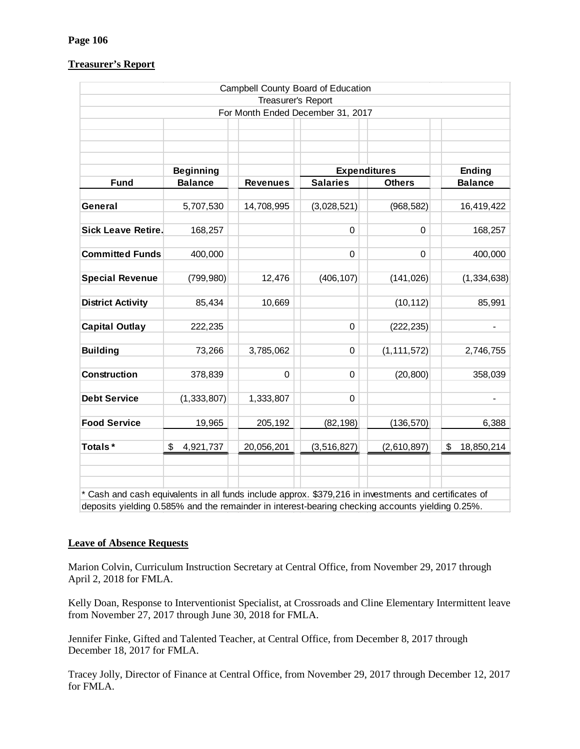# **Treasurer's Report**

|                                                                                                       |                  |                    | Campbell County Board of Education |               |                  |  |  |  |
|-------------------------------------------------------------------------------------------------------|------------------|--------------------|------------------------------------|---------------|------------------|--|--|--|
|                                                                                                       |                  | Treasurer's Report |                                    |               |                  |  |  |  |
| For Month Ended December 31, 2017                                                                     |                  |                    |                                    |               |                  |  |  |  |
|                                                                                                       |                  |                    |                                    |               |                  |  |  |  |
|                                                                                                       |                  |                    |                                    |               |                  |  |  |  |
|                                                                                                       |                  |                    |                                    |               |                  |  |  |  |
|                                                                                                       | <b>Beginning</b> |                    | <b>Expenditures</b>                |               | <b>Ending</b>    |  |  |  |
| <b>Fund</b>                                                                                           | <b>Balance</b>   | <b>Revenues</b>    | <b>Salaries</b>                    | <b>Others</b> | <b>Balance</b>   |  |  |  |
|                                                                                                       |                  |                    |                                    |               |                  |  |  |  |
| General                                                                                               | 5,707,530        | 14,708,995         | (3,028,521)                        | (968, 582)    | 16,419,422       |  |  |  |
|                                                                                                       |                  |                    |                                    |               |                  |  |  |  |
| <b>Sick Leave Retire.</b>                                                                             | 168,257          |                    | 0                                  | $\mathbf 0$   | 168,257          |  |  |  |
| <b>Committed Funds</b>                                                                                | 400,000          |                    | $\overline{0}$                     | $\Omega$      | 400,000          |  |  |  |
|                                                                                                       |                  |                    |                                    |               |                  |  |  |  |
| <b>Special Revenue</b>                                                                                | (799, 980)       | 12,476             | (406, 107)                         | (141, 026)    | (1, 334, 638)    |  |  |  |
|                                                                                                       |                  |                    |                                    |               |                  |  |  |  |
| <b>District Activity</b>                                                                              | 85,434           | 10,669             |                                    | (10, 112)     | 85,991           |  |  |  |
|                                                                                                       |                  |                    |                                    |               |                  |  |  |  |
| <b>Capital Outlay</b>                                                                                 | 222,235          |                    | 0                                  | (222, 235)    |                  |  |  |  |
|                                                                                                       |                  |                    |                                    |               |                  |  |  |  |
| <b>Building</b>                                                                                       | 73,266           | 3,785,062          | 0                                  | (1, 111, 572) | 2,746,755        |  |  |  |
|                                                                                                       |                  |                    |                                    |               |                  |  |  |  |
| <b>Construction</b>                                                                                   | 378,839          | 0                  | 0                                  | (20, 800)     | 358,039          |  |  |  |
|                                                                                                       |                  |                    | $\Omega$                           |               |                  |  |  |  |
| <b>Debt Service</b>                                                                                   | (1, 333, 807)    | 1,333,807          |                                    |               |                  |  |  |  |
| <b>Food Service</b>                                                                                   | 19,965           | 205,192            | (82, 198)                          | (136, 570)    | 6,388            |  |  |  |
|                                                                                                       |                  |                    |                                    |               |                  |  |  |  |
| Totals*                                                                                               | \$<br>4,921,737  | 20,056,201         | (3, 516, 827)                      | (2,610,897)   | \$<br>18,850,214 |  |  |  |
|                                                                                                       |                  |                    |                                    |               |                  |  |  |  |
|                                                                                                       |                  |                    |                                    |               |                  |  |  |  |
|                                                                                                       |                  |                    |                                    |               |                  |  |  |  |
| * Cash and cash equivalents in all funds include approx. \$379,216 in investments and certificates of |                  |                    |                                    |               |                  |  |  |  |

deposits yielding 0.585% and the remainder in interest-bearing checking accounts yielding 0.25%.

# **Leave of Absence Requests**

Marion Colvin, Curriculum Instruction Secretary at Central Office, from November 29, 2017 through April 2, 2018 for FMLA.

Kelly Doan, Response to Interventionist Specialist, at Crossroads and Cline Elementary Intermittent leave from November 27, 2017 through June 30, 2018 for FMLA.

Jennifer Finke, Gifted and Talented Teacher, at Central Office, from December 8, 2017 through December 18, 2017 for FMLA.

Tracey Jolly, Director of Finance at Central Office, from November 29, 2017 through December 12, 2017 for FMLA.